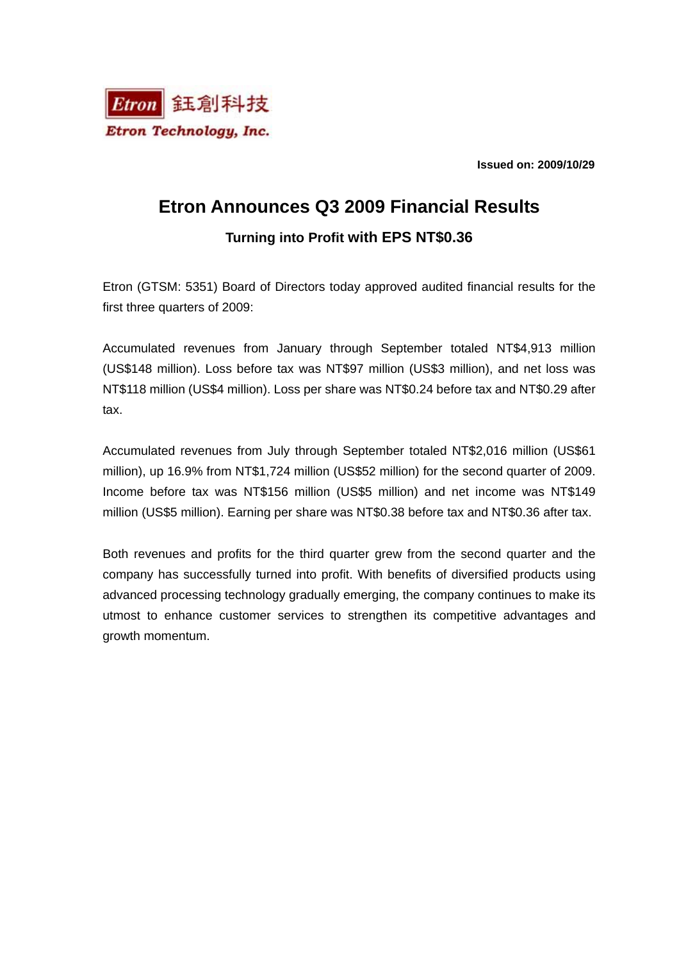

**Issued on: 2009/10/29** 

## **Etron Announces Q3 2009 Financial Results**

### **Turning into Profit with EPS NT\$0.36**

Etron (GTSM: 5351) Board of Directors today approved audited financial results for the first three quarters of 2009:

Accumulated revenues from January through September totaled NT\$4,913 million (US\$148 million). Loss before tax was NT\$97 million (US\$3 million), and net loss was NT\$118 million (US\$4 million). Loss per share was NT\$0.24 before tax and NT\$0.29 after tax.

Accumulated revenues from July through September totaled NT\$2,016 million (US\$61 million), up 16.9% from NT\$1,724 million (US\$52 million) for the second quarter of 2009. Income before tax was NT\$156 million (US\$5 million) and net income was NT\$149 million (US\$5 million). Earning per share was NT\$0.38 before tax and NT\$0.36 after tax.

Both revenues and profits for the third quarter grew from the second quarter and the company has successfully turned into profit. With benefits of diversified products using advanced processing technology gradually emerging, the company continues to make its utmost to enhance customer services to strengthen its competitive advantages and growth momentum.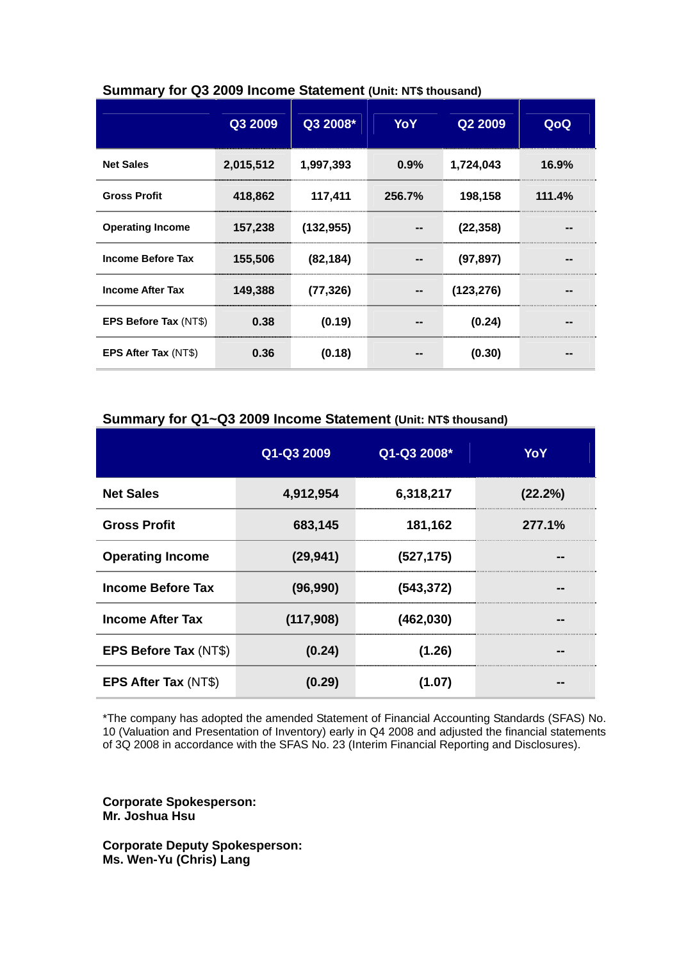|                              | Q3 2009   | Q3 2008*   | YoY    | Q2 2009    | QoQ    |
|------------------------------|-----------|------------|--------|------------|--------|
| <b>Net Sales</b>             | 2,015,512 | 1,997,393  | 0.9%   | 1,724,043  | 16.9%  |
| <b>Gross Profit</b>          | 418,862   | 117,411    | 256.7% | 198,158    | 111.4% |
| <b>Operating Income</b>      | 157,238   | (132, 955) |        | (22, 358)  |        |
| <b>Income Before Tax</b>     | 155,506   | (82, 184)  |        | (97, 897)  |        |
| <b>Income After Tax</b>      | 149,388   | (77, 326)  |        | (123, 276) |        |
| <b>EPS Before Tax (NT\$)</b> | 0.38      | (0.19)     |        | (0.24)     |        |
| <b>EPS After Tax (NT\$)</b>  | 0.36      | (0.18)     |        | (0.30)     |        |

#### **Summary for Q3 2009 Income Statement (Unit: NT\$ thousand)**

#### **Summary for Q1~Q3 2009 Income Statement (Unit: NT\$ thousand)**

|                          | Q1-Q3 2009 | Q1-Q3 2008* | YoY     |
|--------------------------|------------|-------------|---------|
| <b>Net Sales</b>         | 4,912,954  | 6,318,217   | (22.2%) |
| <b>Gross Profit</b>      | 683,145    | 181,162     | 277.1%  |
| <b>Operating Income</b>  | (29, 941)  | (527, 175)  | --      |
| <b>Income Before Tax</b> | (96, 990)  | (543, 372)  | --      |
| <b>Income After Tax</b>  | (117,908)  | (462, 030)  |         |
| EPS Before Tax (NT\$)    | (0.24)     | (1.26)      |         |
| EPS After Tax (NT\$)     | (0.29)     | (1.07)      |         |

\*The company has adopted the amended Statement of Financial Accounting Standards (SFAS) No. 10 (Valuation and Presentation of Inventory) early in Q4 2008 and adjusted the financial statements of 3Q 2008 in accordance with the SFAS No. 23 (Interim Financial Reporting and Disclosures).

**Corporate Spokesperson: Mr. Joshua Hsu** 

**Corporate Deputy Spokesperson: Ms. Wen-Yu (Chris) Lang**